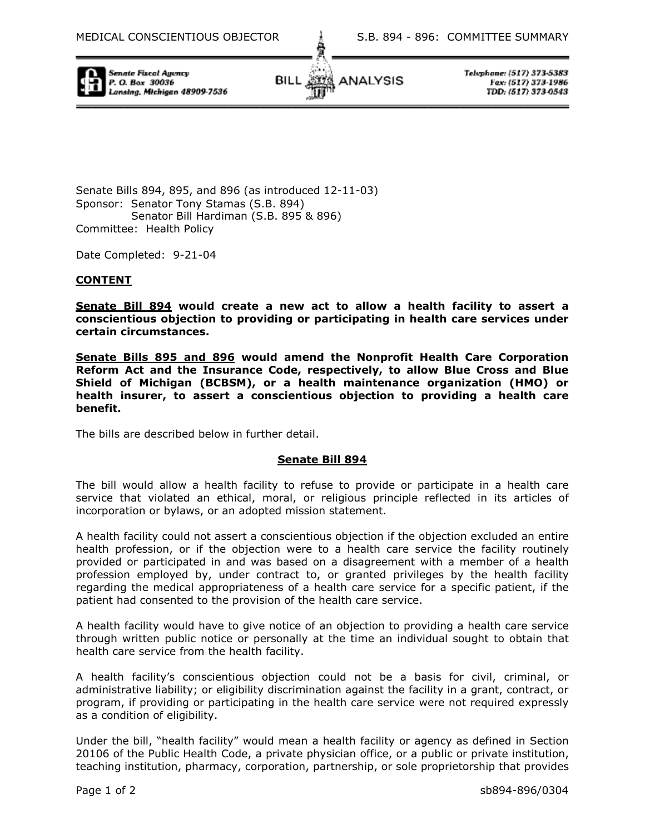

Senate Fiscal Avence P. O. Box 30036 Lansing, Michigan 48909-7536



Telephone: (517) 373-5383 Fax: (517) 373-1986 TDD: (517) 373-0543

Senate Bills 894, 895, and 896 (as introduced 12-11-03) Sponsor: Senator Tony Stamas (S.B. 894) Senator Bill Hardiman (S.B. 895 & 896) Committee: Health Policy

Date Completed: 9-21-04

## **CONTENT**

**Senate Bill 894 would create a new act to allow a health facility to assert a conscientious objection to providing or participating in health care services under certain circumstances.** 

**Senate Bills 895 and 896 would amend the Nonprofit Health Care Corporation Reform Act and the Insurance Code, respectively, to allow Blue Cross and Blue Shield of Michigan (BCBSM), or a health maintenance organization (HMO) or health insurer, to assert a conscientious objection to providing a health care benefit.** 

The bills are described below in further detail.

## **Senate Bill 894**

The bill would allow a health facility to refuse to provide or participate in a health care service that violated an ethical, moral, or religious principle reflected in its articles of incorporation or bylaws, or an adopted mission statement.

A health facility could not assert a conscientious objection if the objection excluded an entire health profession, or if the objection were to a health care service the facility routinely provided or participated in and was based on a disagreement with a member of a health profession employed by, under contract to, or granted privileges by the health facility regarding the medical appropriateness of a health care service for a specific patient, if the patient had consented to the provision of the health care service.

A health facility would have to give notice of an objection to providing a health care service through written public notice or personally at the time an individual sought to obtain that health care service from the health facility.

A health facility's conscientious objection could not be a basis for civil, criminal, or administrative liability; or eligibility discrimination against the facility in a grant, contract, or program, if providing or participating in the health care service were not required expressly as a condition of eligibility.

Under the bill, "health facility" would mean a health facility or agency as defined in Section 20106 of the Public Health Code, a private physician office, or a public or private institution, teaching institution, pharmacy, corporation, partnership, or sole proprietorship that provides